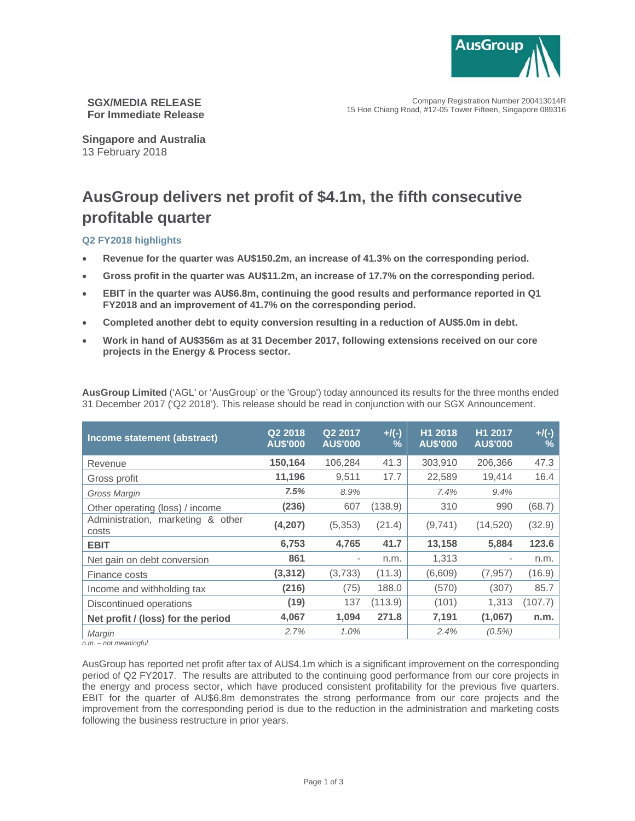

Company Registration Number 200413014R 15 Hoe Chiang Road, #12-05 Tower Fifteen, Singapore 089316

**SGX/MEDIA RELEASE For Immediate Release** 

**Singapore and Australia**  13 February 2018

# **AusGroup delivers net profit of \$4.1m, the fifth consecutive profitable quarter**

# **Q2 FY2018 highlights**

- **Revenue for the quarter was AU\$150.2m, an increase of 41.3% on the corresponding period.**
- **Gross profit in the quarter was AU\$11.2m, an increase of 17.7% on the corresponding period.**
- **EBIT in the quarter was AU\$6.8m, continuing the good results and performance reported in Q1 FY2018 and an improvement of 41.7% on the corresponding period.**
- **Completed another debt to equity conversion resulting in a reduction of AU\$5.0m in debt.**
- **Work in hand of AU\$356m as at 31 December 2017, following extensions received on our core projects in the Energy & Process sector.**

**AusGroup Limited** ('AGL' or 'AusGroup' or the 'Group') today announced its results for the three months ended 31 December 2017 ('Q2 2018'). This release should be read in conjunction with our SGX Announcement.

| Income statement (abstract)                | Q2 2018<br><b>AU\$'000</b> | Q <sub>2</sub> 2017<br><b>AU\$'000</b> | $+$ /(-)<br>% | H <sub>1</sub> 2018<br><b>AU\$'000</b> | H <sub>1</sub> 2017<br>AU\$'000 | $+$ /(-)<br>$\frac{9}{6}$ |
|--------------------------------------------|----------------------------|----------------------------------------|---------------|----------------------------------------|---------------------------------|---------------------------|
| Revenue                                    | 150,164                    | 106.284                                | 41.3          | 303,910                                | 206,366                         | 47.3                      |
| Gross profit                               | 11,196                     | 9,511                                  | 17.7          | 22,589                                 | 19,414                          | 16.4                      |
| Gross Margin                               | 7.5%                       | 8.9%                                   |               | 7.4%                                   | 9.4%                            |                           |
| Other operating (loss) / income            | (236)                      | 607                                    | (138.9)       | 310                                    | 990                             | (68.7)                    |
| Administration, marketing & other<br>costs | (4,207)                    | (5,353)                                | (21.4)        | (9,741)                                | (14, 520)                       | (32.9)                    |
| <b>EBIT</b>                                | 6.753                      | 4.765                                  | 41.7          | 13,158                                 | 5.884                           | 123.6                     |
| Net gain on debt conversion                | 861                        | $\overline{\phantom{a}}$               | n.m.          | 1,313                                  |                                 | n.m.                      |
| Finance costs                              | (3, 312)                   | (3,733)                                | (11.3)        | (6,609)                                | (7, 957)                        | (16.9)                    |
| Income and withholding tax                 | (216)                      | (75)                                   | 188.0         | (570)                                  | (307)                           | 85.7                      |
| Discontinued operations                    | (19)                       | 137                                    | (113.9)       | (101)                                  | 1,313                           | (107.7)                   |
| Net profit / (loss) for the period         | 4,067                      | 1,094                                  | 271.8         | 7,191                                  | (1,067)                         | n.m.                      |
| Margin                                     | 2.7%                       | $1.0\%$                                |               | 2.4%                                   | $(0.5\%)$                       |                           |

*n.m. – not meaningful* 

AusGroup has reported net profit after tax of AU\$4.1m which is a significant improvement on the corresponding period of Q2 FY2017. The results are attributed to the continuing good performance from our core projects in the energy and process sector, which have produced consistent profitability for the previous five quarters. EBIT for the quarter of AU\$6.8m demonstrates the strong performance from our core projects and the improvement from the corresponding period is due to the reduction in the administration and marketing costs following the business restructure in prior years.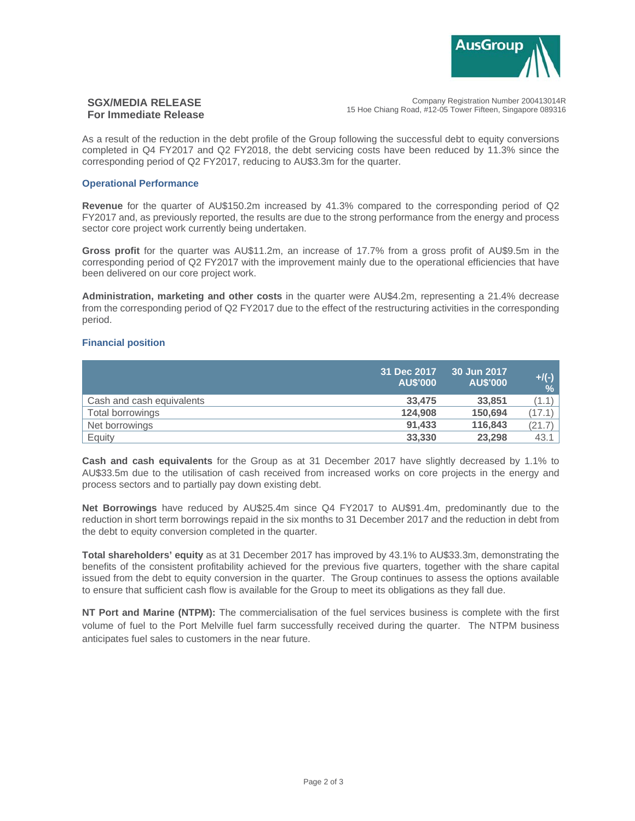

## **SGX/MEDIA RELEASE For Immediate Release**

Company Registration Number 200413014R 15 Hoe Chiang Road, #12-05 Tower Fifteen, Singapore 089316

As a result of the reduction in the debt profile of the Group following the successful debt to equity conversions completed in Q4 FY2017 and Q2 FY2018, the debt servicing costs have been reduced by 11.3% since the corresponding period of Q2 FY2017, reducing to AU\$3.3m for the quarter.

### **Operational Performance**

**Revenue** for the quarter of AU\$150.2m increased by 41.3% compared to the corresponding period of Q2 FY2017 and, as previously reported, the results are due to the strong performance from the energy and process sector core project work currently being undertaken.

**Gross profit** for the quarter was AU\$11.2m, an increase of 17.7% from a gross profit of AU\$9.5m in the corresponding period of Q2 FY2017 with the improvement mainly due to the operational efficiencies that have been delivered on our core project work.

**Administration, marketing and other costs** in the quarter were AU\$4.2m, representing a 21.4% decrease from the corresponding period of Q2 FY2017 due to the effect of the restructuring activities in the corresponding period.

## **Financial position**

|                           | 31 Dec 2017<br><b>AU\$'000</b> | 30 Jun 2017<br><b>AU\$'000</b> | $+$ /(-)<br>$\frac{1}{2}$ |
|---------------------------|--------------------------------|--------------------------------|---------------------------|
| Cash and cash equivalents | 33,475                         | 33,851                         | (1.1)                     |
| Total borrowings          | 124.908                        | 150,694                        | (17.1)                    |
| Net borrowings            | 91.433                         | 116,843                        | (21.7)                    |
| Equity                    | 33,330                         | 23,298                         | 43.1                      |

**Cash and cash equivalents** for the Group as at 31 December 2017 have slightly decreased by 1.1% to AU\$33.5m due to the utilisation of cash received from increased works on core projects in the energy and process sectors and to partially pay down existing debt.

**Net Borrowings** have reduced by AU\$25.4m since Q4 FY2017 to AU\$91.4m, predominantly due to the reduction in short term borrowings repaid in the six months to 31 December 2017 and the reduction in debt from the debt to equity conversion completed in the quarter.

**Total shareholders' equity** as at 31 December 2017 has improved by 43.1% to AU\$33.3m, demonstrating the benefits of the consistent profitability achieved for the previous five quarters, together with the share capital issued from the debt to equity conversion in the quarter. The Group continues to assess the options available to ensure that sufficient cash flow is available for the Group to meet its obligations as they fall due.

**NT Port and Marine (NTPM):** The commercialisation of the fuel services business is complete with the first volume of fuel to the Port Melville fuel farm successfully received during the quarter. The NTPM business anticipates fuel sales to customers in the near future.